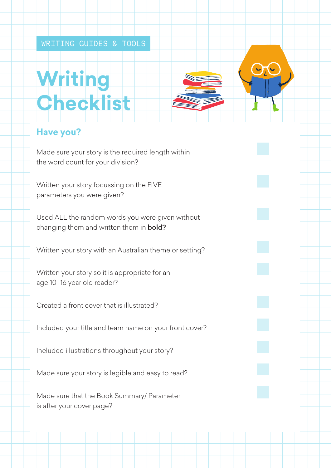## **Writing Checklist**

## **Have you?**

Made sure your story is the required length within the word count for your division?

Written your story focussing on the FIVE parameters you were given?

Used ALL the random words you were given without changing them and written them in **bold?** 

Written your story with an Australian theme or setting?

Written your story so it is appropriate for an age 10–16 year old reader?

Created a front cover that is illustrated?

Included your title and team name on your front cover?

Included illustrations throughout your story?

Made sure your story is legible and easy to read?

Made sure that the Book Summary/ Parameter is after your cover page?